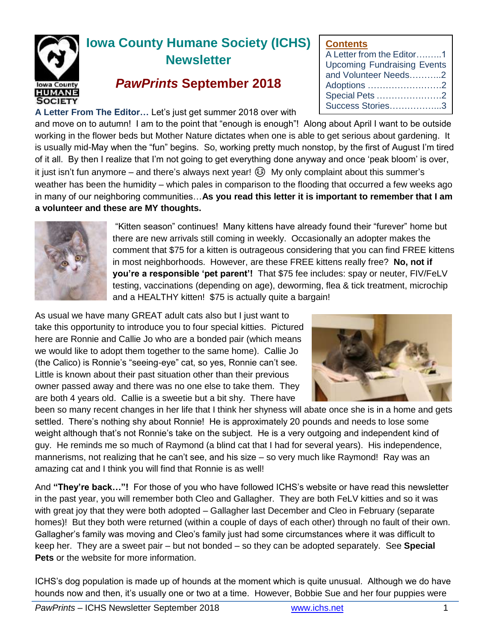

# **Iowa County Humane Society (ICHS) Newsletter**

# *PawPrints* **September 2018**

**A Letter From The Editor…** Let's just get summer 2018 over with

#### **Contents**

and move on to autumn! I am to the point that "enough is enough"! Along about April I want to be outside working in the flower beds but Mother Nature dictates when one is able to get serious about gardening. It is usually mid-May when the "fun" begins. So, working pretty much nonstop, by the first of August I'm tired of it all. By then I realize that I'm not going to get everything done anyway and once 'peak bloom' is over, it just isn't fun anymore – and there's always next year!  $\circledS$  My only complaint about this summer's weather has been the humidity – which pales in comparison to the flooding that occurred a few weeks ago in many of our neighboring communities…**As you read this letter it is important to remember that I am a volunteer and these are MY thoughts.**



"Kitten season" continues! Many kittens have already found their "furever" home but there are new arrivals still coming in weekly. Occasionally an adopter makes the comment that \$75 for a kitten is outrageous considering that you can find FREE kittens in most neighborhoods. However, are these FREE kittens really free? **No, not if you're a responsible 'pet parent'!** That \$75 fee includes: spay or neuter, FIV/FeLV testing, vaccinations (depending on age), deworming, flea & tick treatment, microchip and a HEALTHY kitten! \$75 is actually quite a bargain!

As usual we have many GREAT adult cats also but I just want to take this opportunity to introduce you to four special kitties. Pictured here are Ronnie and Callie Jo who are a bonded pair (which means we would like to adopt them together to the same home). Callie Jo (the Calico) is Ronnie's "seeing-eye" cat, so yes, Ronnie can't see. Little is known about their past situation other than their previous owner passed away and there was no one else to take them. They are both 4 years old. Callie is a sweetie but a bit shy. There have



been so many recent changes in her life that I think her shyness will abate once she is in a home and gets settled. There's nothing shy about Ronnie! He is approximately 20 pounds and needs to lose some weight although that's not Ronnie's take on the subject. He is a very outgoing and independent kind of guy. He reminds me so much of Raymond (a blind cat that I had for several years). His independence, mannerisms, not realizing that he can't see, and his size – so very much like Raymond! Ray was an amazing cat and I think you will find that Ronnie is as well!

And **"They're back…"!** For those of you who have followed ICHS's website or have read this newsletter in the past year, you will remember both Cleo and Gallagher. They are both FeLV kitties and so it was with great joy that they were both adopted – Gallagher last December and Cleo in February (separate homes)! But they both were returned (within a couple of days of each other) through no fault of their own. Gallagher's family was moving and Cleo's family just had some circumstances where it was difficult to keep her. They are a sweet pair – but not bonded – so they can be adopted separately. See **Special Pets** or the website for more information.

ICHS's dog population is made up of hounds at the moment which is quite unusual. Although we do have hounds now and then, it's usually one or two at a time. However, Bobbie Sue and her four puppies were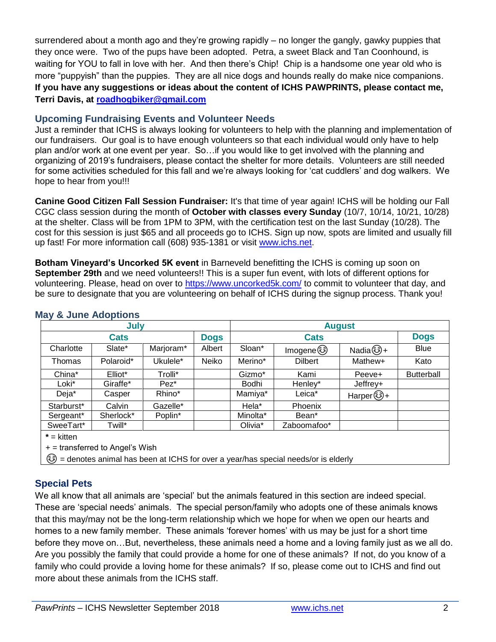surrendered about a month ago and they're growing rapidly – no longer the gangly, gawky puppies that they once were. Two of the pups have been adopted. Petra, a sweet Black and Tan Coonhound, is waiting for YOU to fall in love with her. And then there's Chip! Chip is a handsome one year old who is more "puppyish" than the puppies. They are all nice dogs and hounds really do make nice companions. **If you have any suggestions or ideas about the content of ICHS PAWPRINTS, please contact me, Terri Davis, at [roadhogbiker@gmail.com](mailto:roadhogbiker@gmail.com)**

### **Upcoming Fundraising Events and Volunteer Needs**

Just a reminder that ICHS is always looking for volunteers to help with the planning and implementation of our fundraisers. Our goal is to have enough volunteers so that each individual would only have to help plan and/or work at one event per year. So…if you would like to get involved with the planning and organizing of 2019's fundraisers, please contact the shelter for more details. Volunteers are still needed for some activities scheduled for this fall and we're always looking for 'cat cuddlers' and dog walkers. We hope to hear from you!!!

**Canine Good Citizen Fall Session Fundraiser:** It's that time of year again! ICHS will be holding our Fall CGC class session during the month of **October with classes every Sunday** (10/7, 10/14, 10/21, 10/28) at the shelter. Class will be from 1PM to 3PM, with the certification test on the last Sunday (10/28). The cost for this session is just \$65 and all proceeds go to ICHS. Sign up now, spots are limited and usually fill up fast! For more information call (608) 935-1381 or visit [www.ichs.net.](http://www.ichs.net/)

**Botham Vineyard's Uncorked 5K event** in Barneveld benefitting the ICHS is coming up soon on **September 29th** and we need volunteers!! This is a super fun event, with lots of different options for volunteering. Please, head on over to<https://www.uncorked5k.com/> to commit to volunteer that day, and be sure to designate that you are volunteering on behalf of ICHS during the signup process. Thank you!

| July                                                                             |           |           |             | <b>August</b> |                   |                  |                   |
|----------------------------------------------------------------------------------|-----------|-----------|-------------|---------------|-------------------|------------------|-------------------|
| <b>Cats</b>                                                                      |           |           | <b>Dogs</b> | <b>Cats</b>   |                   |                  | <b>Dogs</b>       |
| Charlotte                                                                        | Slate*    | Marjoram* | Albert      | Sloan*        | lmogene ۞         | $Nadian$ $(*) +$ | Blue              |
| Thomas                                                                           | Polaroid* | Ukulele*  | Neiko       | Merino*       | <b>Dilbert</b>    | Mathew+          | Kato              |
| China*                                                                           | Elliot*   | Trolli*   |             | Gizmo*        | Kami              | Peeve+           | <b>Butterball</b> |
| Loki*                                                                            | Giraffe*  | $Pez^*$   |             | Bodhi         | Henley*           | Jeffrey+         |                   |
| Deja*                                                                            | Casper    | Rhino*    |             | Mamiya*       | Leica*            | Harper (ঠ) +     |                   |
| Starburst*                                                                       | Calvin    | Gazelle*  |             | Hela*         | Phoenix           |                  |                   |
| Sergeant*                                                                        | Sherlock* | Poplin*   |             | Minolta*      | Bean <sup>*</sup> |                  |                   |
| SweeTart*                                                                        | Twill*    |           |             | Olivia*       | Zaboomafoo*       |                  |                   |
| $*$ = kitten                                                                     |           |           |             |               |                   |                  |                   |
| $+$ = transferred to Angel's Wish                                                |           |           |             |               |                   |                  |                   |
| edenotes animal has been at ICHS for over a year/has special needs/or is elderly |           |           |             |               |                   |                  |                   |

#### **May & June Adoptions**

## **Special Pets**

We all know that all animals are 'special' but the animals featured in this section are indeed special. These are 'special needs' animals. The special person/family who adopts one of these animals knows that this may/may not be the long-term relationship which we hope for when we open our hearts and homes to a new family member. These animals 'forever homes' with us may be just for a short time before they move on…But, nevertheless, these animals need a home and a loving family just as we all do. Are you possibly the family that could provide a home for one of these animals? If not, do you know of a family who could provide a loving home for these animals? If so, please come out to ICHS and find out more about these animals from the ICHS staff.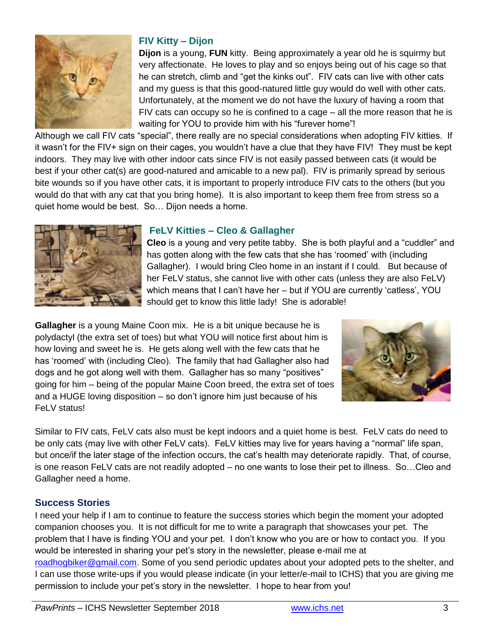

#### **FIV Kitty – Dijon**

**Dijon** is a young, **FUN** kitty. Being approximately a year old he is squirmy but very affectionate. He loves to play and so enjoys being out of his cage so that he can stretch, climb and "get the kinks out". FIV cats can live with other cats and my guess is that this good-natured little guy would do well with other cats. Unfortunately, at the moment we do not have the luxury of having a room that FIV cats can occupy so he is confined to a cage – all the more reason that he is waiting for YOU to provide him with his "furever home"!

Although we call FIV cats "special", there really are no special considerations when adopting FIV kitties. If it wasn't for the FIV+ sign on their cages, you wouldn't have a clue that they have FIV! They must be kept indoors. They may live with other indoor cats since FIV is not easily passed between cats (it would be best if your other cat(s) are good-natured and amicable to a new pal). FIV is primarily spread by serious bite wounds so if you have other cats, it is important to properly introduce FIV cats to the others (but you would do that with any cat that you bring home). It is also important to keep them free from stress so a quiet home would be best. So… Dijon needs a home.



#### **FeLV Kitties – Cleo & Gallagher**

**Cleo** is a young and very petite tabby. She is both playful and a "cuddler" and has gotten along with the few cats that she has 'roomed' with (including Gallagher). I would bring Cleo home in an instant if I could. But because of her FeLV status, she cannot live with other cats (unless they are also FeLV) which means that I can't have her – but if YOU are currently 'catless', YOU should get to know this little lady! She is adorable!

**Gallagher** is a young Maine Coon mix. He is a bit unique because he is polydactyl (the extra set of toes) but what YOU will notice first about him is how loving and sweet he is. He gets along well with the few cats that he has 'roomed' with (including Cleo). The family that had Gallagher also had dogs and he got along well with them. Gallagher has so many "positives" going for him – being of the popular Maine Coon breed, the extra set of toes and a HUGE loving disposition – so don't ignore him just because of his FeLV status!



Similar to FIV cats, FeLV cats also must be kept indoors and a quiet home is best. FeLV cats do need to be only cats (may live with other FeLV cats). FeLV kitties may live for years having a "normal" life span, but once/if the later stage of the infection occurs, the cat's health may deteriorate rapidly. That, of course, is one reason FeLV cats are not readily adopted – no one wants to lose their pet to illness. So…Cleo and Gallagher need a home.

#### **Success Stories**

I need your help if I am to continue to feature the success stories which begin the moment your adopted companion chooses you. It is not difficult for me to write a paragraph that showcases your pet. The problem that I have is finding YOU and your pet. I don't know who you are or how to contact you. If you would be interested in sharing your pet's story in the newsletter, please e-mail me at [roadhogbiker@gmail.com.](mailto:roadhogbiker@gmail.com) Some of you send periodic updates about your adopted pets to the shelter, and I can use those write-ups if you would please indicate (in your letter/e-mail to ICHS) that you are giving me permission to include your pet's story in the newsletter. I hope to hear from you!